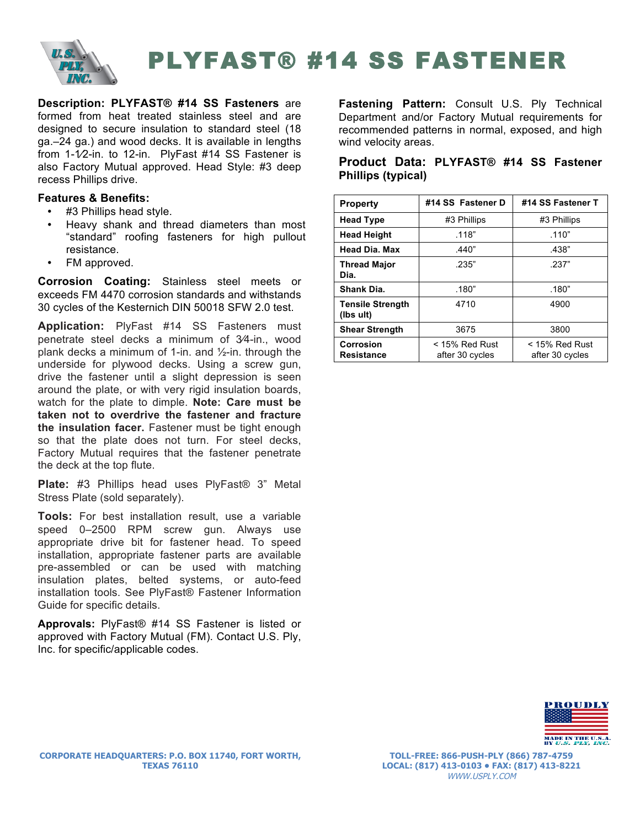

PLYFAST® #14 SS FASTENER

**Description: PLYFAST® #14 SS Fasteners** are formed from heat treated stainless steel and are designed to secure insulation to standard steel (18 ga.–24 ga.) and wood decks. It is available in lengths from 1-1⁄2-in. to 12-in. PlyFast #14 SS Fastener is also Factory Mutual approved. Head Style: #3 deep recess Phillips drive.

## **Features & Benefits:**

- #3 Phillips head style.
- Heavy shank and thread diameters than most "standard" roofing fasteners for high pullout resistance.
- FM approved.

**Corrosion Coating:** Stainless steel meets or exceeds FM 4470 corrosion standards and withstands 30 cycles of the Kesternich DIN 50018 SFW 2.0 test.

**Application:** PlyFast #14 SS Fasteners must penetrate steel decks a minimum of 3⁄4-in., wood plank decks a minimum of 1-in. and  $\frac{1}{2}$ -in. through the underside for plywood decks. Using a screw gun, drive the fastener until a slight depression is seen around the plate, or with very rigid insulation boards, watch for the plate to dimple. **Note: Care must be taken not to overdrive the fastener and fracture the insulation facer.** Fastener must be tight enough so that the plate does not turn. For steel decks, Factory Mutual requires that the fastener penetrate the deck at the top flute.

**Plate:** #3 Phillips head uses PlyFast® 3" Metal Stress Plate (sold separately).

**Tools:** For best installation result, use a variable speed 0–2500 RPM screw gun. Always use appropriate drive bit for fastener head. To speed installation, appropriate fastener parts are available pre-assembled or can be used with matching insulation plates, belted systems, or auto-feed installation tools. See PlyFast® Fastener Information Guide for specific details.

**Approvals:** PlyFast® #14 SS Fastener is listed or approved with Factory Mutual (FM). Contact U.S. Ply, Inc. for specific/applicable codes.

**Fastening Pattern:** Consult U.S. Ply Technical Department and/or Factory Mutual requirements for recommended patterns in normal, exposed, and high wind velocity areas.

# **Product Data: PLYFAST® #14 SS Fastener Phillips (typical)**

| <b>Property</b>                      | #14 SS Fastener D                   | #14 SS Fastener T                   |
|--------------------------------------|-------------------------------------|-------------------------------------|
| <b>Head Type</b>                     | #3 Phillips                         | #3 Phillips                         |
| <b>Head Height</b>                   | .118"                               | .110"                               |
| <b>Head Dia. Max</b>                 | .440"                               | .438"                               |
| <b>Thread Major</b><br>Dia.          | .235"                               | -237"                               |
| Shank Dia.                           | .180"                               | .180"                               |
| <b>Tensile Strength</b><br>(lbs ult) | 4710                                | 4900                                |
| <b>Shear Strength</b>                | 3675                                | 3800                                |
| Corrosion<br><b>Resistance</b>       | $<$ 15% Red Rust<br>after 30 cycles | $<$ 15% Red Rust<br>after 30 cycles |



**TOLL-FREE: 866-PUSH-PLY (866) 787-4759 LOCAL: (817) 413-0103 • FAX: (817) 413-8221** WWW.USPLY.COM